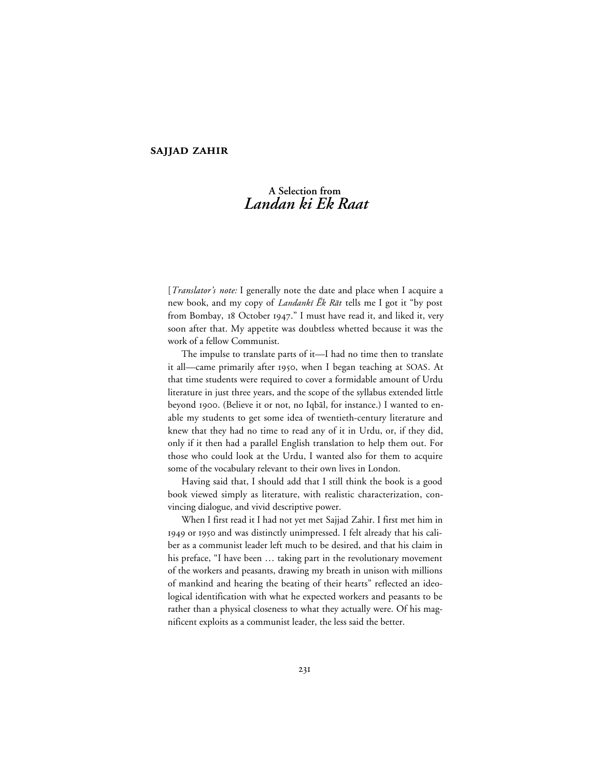## **SAJJAD ZAHIR**

# **A Selection from** *Landan ki Ek Raat*

[*Translator's note:* I generally note the date and place when I acquire a new book, and my copy of *Landanki*  $\bar{E}k$  Rat tells me I got it "by post from Bombay, 18 October 1947." I must have read it, and liked it, very soon after that. My appetite was doubtless whetted because it was the work of a fellow Communist.

The impulse to translate parts of it—I had no time then to translate it all—came primarily after 1950, when I began teaching at SOAS. At that time students were required to cover a formidable amount of Urdu literature in just three years, and the scope of the syllabus extended little beyond 1900. (Believe it or not, no Iqbāl, for instance.) I wanted to enable my students to get some idea of twentieth-century literature and knew that they had no time to read any of it in Urdu, or, if they did, only if it then had a parallel English translation to help them out. For those who could look at the Urdu, I wanted also for them to acquire some of the vocabulary relevant to their own lives in London.

Having said that, I should add that I still think the book is a good book viewed simply as literature, with realistic characterization, convincing dialogue, and vivid descriptive power.

When I first read it I had not yet met Sajjad Zahir. I first met him in 1949 or 1950 and was distinctly unimpressed. I felt already that his caliber as a communist leader left much to be desired, and that his claim in his preface, "I have been … taking part in the revolutionary movement of the workers and peasants, drawing my breath in unison with millions of mankind and hearing the beating of their hearts" reflected an ideological identification with what he expected workers and peasants to be rather than a physical closeness to what they actually were. Of his magnificent exploits as a communist leader, the less said the better.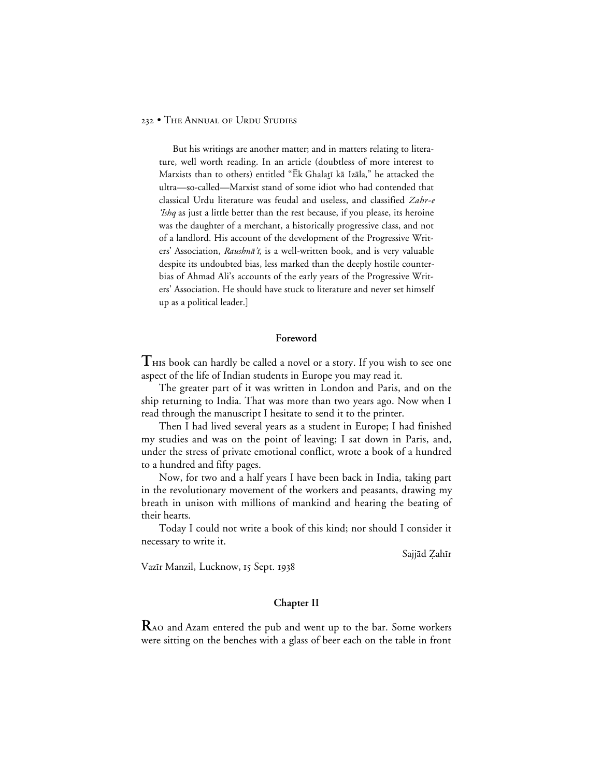But his writings are another matter; and in matters relating to literature, well worth reading. In an article (doubtless of more interest to Marxists than to others) entitled "Ēk Ghalatī kā Izāla," he attacked the ultra—so-called—Marxist stand of some idiot who had contended that classical Urdu literature was feudal and useless, and classified Zahr-e 'Ishq as just a little better than the rest because, if you please, its heroine was the daughter of a merchant, a historically progressive class, and not of a landlord. His account of the development of the Progressive Writers' Association, Raushnā'ī, is a well-written book, and is very valuable despite its undoubted bias, less marked than the deeply hostile counterbias of Ahmad Ali's accounts of the early years of the Progressive Writers' Association. He should have stuck to literature and never set himself up as a political leader.]

#### **Foreword**

 $T$   $\mu$  book can hardly be called a novel or a story. If you wish to see one aspect of the life of Indian students in Europe you may read it.

The greater part of it was written in London and Paris, and on the ship returning to India. That was more than two years ago. Now when I read through the manuscript I hesitate to send it to the printer.

Then I had lived several years as a student in Europe; I had finished my studies and was on the point of leaving; I sat down in Paris, and, under the stress of private emotional conflict, wrote a book of a hundred to a hundred and fifty pages.

Now, for two and a half years I have been back in India, taking part in the revolutionary movement of the workers and peasants, drawing my breath in unison with millions of mankind and hearing the beating of their hearts.

Today I could not write a book of this kind; nor should I consider it necessary to write it.

Sajjād Zahīr

Vazīr Manzil, Lucknow, 15 Sept. 1938

## **Chapter II**

**R**AO and Azam entered the pub and went up to the bar. Some workers were sitting on the benches with a glass of beer each on the table in front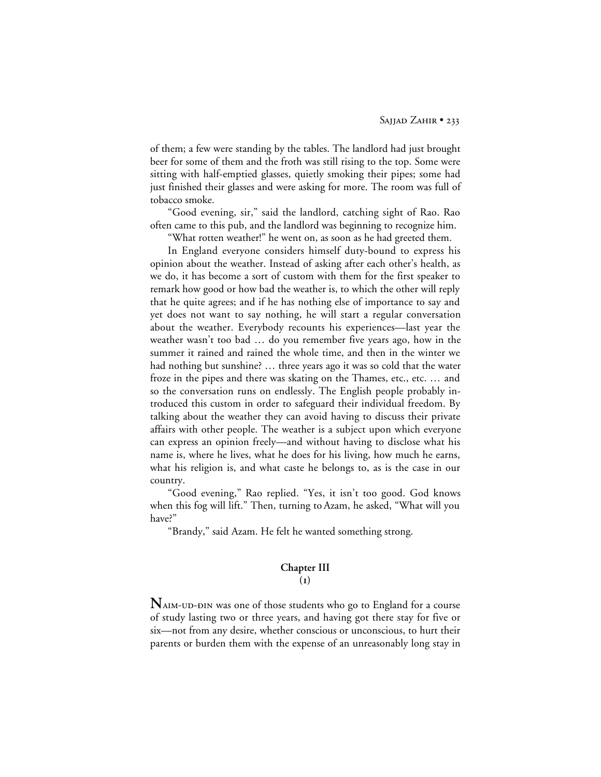of them; a few were standing by the tables. The landlord had just brought beer for some of them and the froth was still rising to the top. Some were sitting with half-emptied glasses, quietly smoking their pipes; some had just finished their glasses and were asking for more. The room was full of tobacco smoke.

"Good evening, sir," said the landlord, catching sight of Rao. Rao often came to this pub, and the landlord was beginning to recognize him.

"What rotten weather!" he went on, as soon as he had greeted them.

In England everyone considers himself duty-bound to express his opinion about the weather. Instead of asking after each other's health, as we do, it has become a sort of custom with them for the first speaker to remark how good or how bad the weather is, to which the other will reply that he quite agrees; and if he has nothing else of importance to say and yet does not want to say nothing, he will start a regular conversation about the weather. Everybody recounts his experiences—last year the weather wasn't too bad … do you remember five years ago, how in the summer it rained and rained the whole time, and then in the winter we had nothing but sunshine? … three years ago it was so cold that the water froze in the pipes and there was skating on the Thames, etc., etc. … and so the conversation runs on endlessly. The English people probably introduced this custom in order to safeguard their individual freedom. By talking about the weather they can avoid having to discuss their private affairs with other people. The weather is a subject upon which everyone can express an opinion freely—and without having to disclose what his name is, where he lives, what he does for his living, how much he earns, what his religion is, and what caste he belongs to, as is the case in our country.

"Good evening," Rao replied. "Yes, it isn't too good. God knows when this fog will lift." Then, turning to Azam, he asked, "What will you have?"

"Brandy," said Azam. He felt he wanted something strong.

# **Chapter III**

## **()**

NAIM-UD-DIN was one of those students who go to England for a course of study lasting two or three years, and having got there stay for five or six—not from any desire, whether conscious or unconscious, to hurt their parents or burden them with the expense of an unreasonably long stay in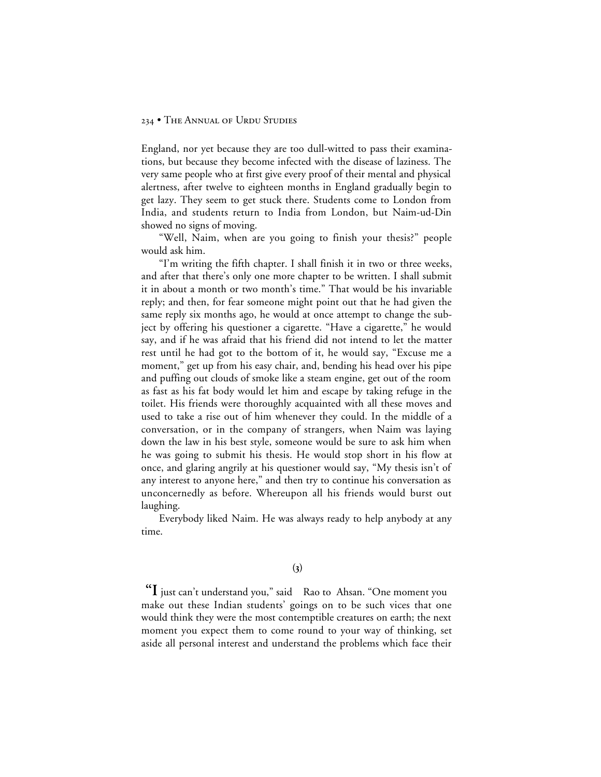England, nor yet because they are too dull-witted to pass their examinations, but because they become infected with the disease of laziness. The very same people who at first give every proof of their mental and physical alertness, after twelve to eighteen months in England gradually begin to get lazy. They seem to get stuck there. Students come to London from India, and students return to India from London, but Naim-ud-Din showed no signs of moving.

"Well, Naim, when are you going to finish your thesis?" people would ask him.

"I'm writing the fifth chapter. I shall finish it in two or three weeks, and after that there's only one more chapter to be written. I shall submit it in about a month or two month's time." That would be his invariable reply; and then, for fear someone might point out that he had given the same reply six months ago, he would at once attempt to change the subject by offering his questioner a cigarette. "Have a cigarette," he would say, and if he was afraid that his friend did not intend to let the matter rest until he had got to the bottom of it, he would say, "Excuse me a moment," get up from his easy chair, and, bending his head over his pipe and puffing out clouds of smoke like a steam engine, get out of the room as fast as his fat body would let him and escape by taking refuge in the toilet. His friends were thoroughly acquainted with all these moves and used to take a rise out of him whenever they could. In the middle of a conversation, or in the company of strangers, when Naim was laying down the law in his best style, someone would be sure to ask him when he was going to submit his thesis. He would stop short in his flow at once, and glaring angrily at his questioner would say, "My thesis isn't of any interest to anyone here," and then try to continue his conversation as unconcernedly as before. Whereupon all his friends would burst out laughing.

Everybody liked Naim. He was always ready to help anybody at any time.

 **"I** just can't understand you," said Rao to Ahsan. "One moment you make out these Indian students' goings on to be such vices that one would think they were the most contemptible creatures on earth; the next moment you expect them to come round to your way of thinking, set aside all personal interest and understand the problems which face their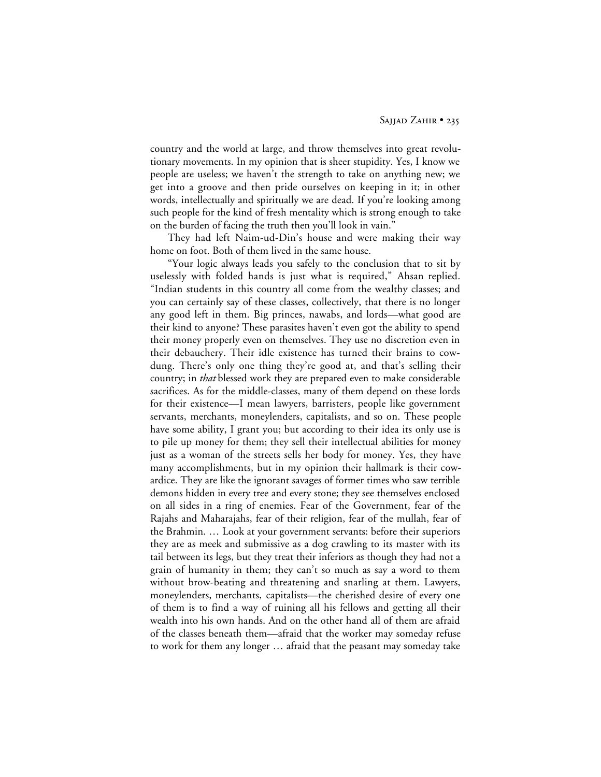country and the world at large, and throw themselves into great revolutionary movements. In my opinion that is sheer stupidity. Yes, I know we people are useless; we haven't the strength to take on anything new; we get into a groove and then pride ourselves on keeping in it; in other words, intellectually and spiritually we are dead. If you're looking among such people for the kind of fresh mentality which is strong enough to take on the burden of facing the truth then you'll look in vain."

They had left Naim-ud-Din's house and were making their way home on foot. Both of them lived in the same house.

"Your logic always leads you safely to the conclusion that to sit by uselessly with folded hands is just what is required," Ahsan replied. "Indian students in this country all come from the wealthy classes; and you can certainly say of these classes, collectively, that there is no longer any good left in them. Big princes, nawabs, and lords—what good are their kind to anyone? These parasites haven't even got the ability to spend their money properly even on themselves. They use no discretion even in their debauchery. Their idle existence has turned their brains to cowdung. There's only one thing they're good at, and that's selling their country; in *that* blessed work they are prepared even to make considerable sacrifices. As for the middle-classes, many of them depend on these lords for their existence—I mean lawyers, barristers, people like government servants, merchants, moneylenders, capitalists, and so on. These people have some ability, I grant you; but according to their idea its only use is to pile up money for them; they sell their intellectual abilities for money just as a woman of the streets sells her body for money. Yes, they have many accomplishments, but in my opinion their hallmark is their cowardice. They are like the ignorant savages of former times who saw terrible demons hidden in every tree and every stone; they see themselves enclosed on all sides in a ring of enemies. Fear of the Government, fear of the Rajahs and Maharajahs, fear of their religion, fear of the mullah, fear of the Brahmin. … Look at your government servants: before their superiors they are as meek and submissive as a dog crawling to its master with its tail between its legs, but they treat their inferiors as though they had not a grain of humanity in them; they can't so much as say a word to them without brow-beating and threatening and snarling at them. Lawyers, moneylenders, merchants, capitalists—the cherished desire of every one of them is to find a way of ruining all his fellows and getting all their wealth into his own hands. And on the other hand all of them are afraid of the classes beneath them—afraid that the worker may someday refuse to work for them any longer … afraid that the peasant may someday take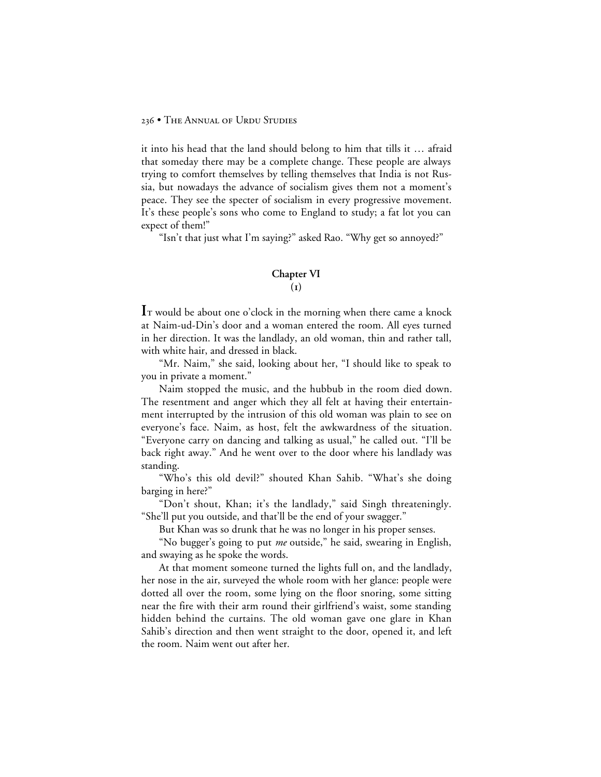it into his head that the land should belong to him that tills it … afraid that someday there may be a complete change. These people are always trying to comfort themselves by telling themselves that India is not Russia, but nowadays the advance of socialism gives them not a moment's peace. They see the specter of socialism in every progressive movement. It's these people's sons who come to England to study; a fat lot you can expect of them!"

"Isn't that just what I'm saying?" asked Rao. "Why get so annoyed?"

# **Chapter VI**

**()**

I<sub>T</sub> would be about one o'clock in the morning when there came a knock at Naim-ud-Din's door and a woman entered the room. All eyes turned in her direction. It was the landlady, an old woman, thin and rather tall, with white hair, and dressed in black.

"Mr. Naim," she said, looking about her, "I should like to speak to you in private a moment."

Naim stopped the music, and the hubbub in the room died down. The resentment and anger which they all felt at having their entertainment interrupted by the intrusion of this old woman was plain to see on everyone's face. Naim, as host, felt the awkwardness of the situation. "Everyone carry on dancing and talking as usual," he called out. "I'll be back right away." And he went over to the door where his landlady was standing.

"Who's this old devil?" shouted Khan Sahib. "What's she doing barging in here?"

"Don't shout, Khan; it's the landlady," said Singh threateningly. "She'll put you outside, and that'll be the end of your swagger."

But Khan was so drunk that he was no longer in his proper senses.

"No bugger's going to put *me* outside," he said, swearing in English, and swaying as he spoke the words.

At that moment someone turned the lights full on, and the landlady, her nose in the air, surveyed the whole room with her glance: people were dotted all over the room, some lying on the floor snoring, some sitting near the fire with their arm round their girlfriend's waist, some standing hidden behind the curtains. The old woman gave one glare in Khan Sahib's direction and then went straight to the door, opened it, and left the room. Naim went out after her.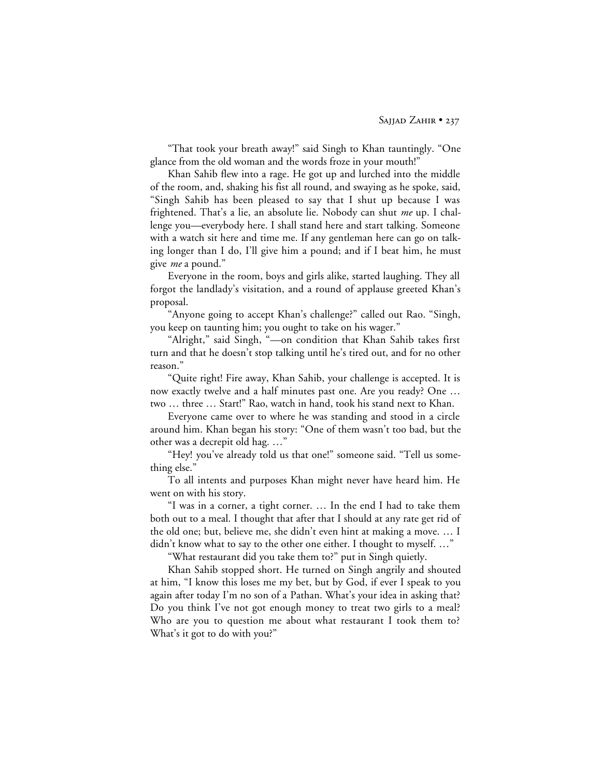"That took your breath away!" said Singh to Khan tauntingly. "One glance from the old woman and the words froze in your mouth!"

Khan Sahib flew into a rage. He got up and lurched into the middle of the room, and, shaking his fist all round, and swaying as he spoke, said, "Singh Sahib has been pleased to say that I shut up because I was frightened. That's a lie, an absolute lie. Nobody can shut *me* up. I challenge you—everybody here. I shall stand here and start talking. Someone with a watch sit here and time me. If any gentleman here can go on talking longer than I do, I'll give him a pound; and if I beat him, he must give *me* a pound."

Everyone in the room, boys and girls alike, started laughing. They all forgot the landlady's visitation, and a round of applause greeted Khan's proposal.

"Anyone going to accept Khan's challenge?" called out Rao. "Singh, you keep on taunting him; you ought to take on his wager."

"Alright," said Singh, "—on condition that Khan Sahib takes first turn and that he doesn't stop talking until he's tired out, and for no other reason."

"Quite right! Fire away, Khan Sahib, your challenge is accepted. It is now exactly twelve and a half minutes past one. Are you ready? One … two … three … Start!" Rao, watch in hand, took his stand next to Khan.

Everyone came over to where he was standing and stood in a circle around him. Khan began his story: "One of them wasn't too bad, but the other was a decrepit old hag. …"

"Hey! you've already told us that one!" someone said. "Tell us something else."

To all intents and purposes Khan might never have heard him. He went on with his story.

"I was in a corner, a tight corner. … In the end I had to take them both out to a meal. I thought that after that I should at any rate get rid of the old one; but, believe me, she didn't even hint at making a move. … I didn't know what to say to the other one either. I thought to myself. …"

"What restaurant did you take them to?" put in Singh quietly.

Khan Sahib stopped short. He turned on Singh angrily and shouted at him, "I know this loses me my bet, but by God, if ever I speak to you again after today I'm no son of a Pathan. What's your idea in asking that? Do you think I've not got enough money to treat two girls to a meal? Who are you to question me about what restaurant I took them to? What's it got to do with you?"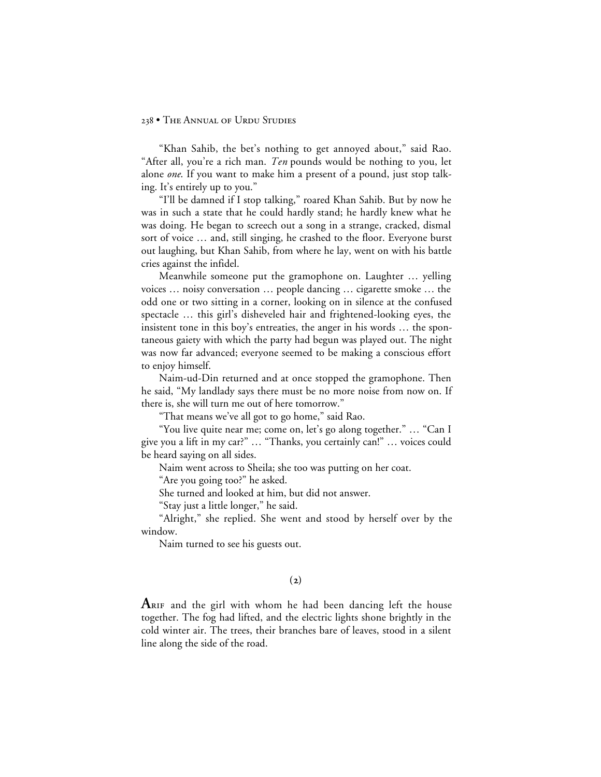"Khan Sahib, the bet's nothing to get annoyed about," said Rao. "After all, you're a rich man. *Ten* pounds would be nothing to you, let alone *one*. If you want to make him a present of a pound, just stop talking. It's entirely up to you."

"I'll be damned if I stop talking," roared Khan Sahib. But by now he was in such a state that he could hardly stand; he hardly knew what he was doing. He began to screech out a song in a strange, cracked, dismal sort of voice … and, still singing, he crashed to the floor. Everyone burst out laughing, but Khan Sahib, from where he lay, went on with his battle cries against the infidel.

Meanwhile someone put the gramophone on. Laughter … yelling voices … noisy conversation … people dancing … cigarette smoke … the odd one or two sitting in a corner, looking on in silence at the confused spectacle … this girl's disheveled hair and frightened-looking eyes, the insistent tone in this boy's entreaties, the anger in his words … the spontaneous gaiety with which the party had begun was played out. The night was now far advanced; everyone seemed to be making a conscious effort to enjoy himself.

Naim-ud-Din returned and at once stopped the gramophone. Then he said, "My landlady says there must be no more noise from now on. If there is, she will turn me out of here tomorrow."

"That means we've all got to go home," said Rao.

"You live quite near me; come on, let's go along together." … "Can I give you a lift in my car?" … "Thanks, you certainly can!" … voices could be heard saying on all sides.

Naim went across to Sheila; she too was putting on her coat.

"Are you going too?" he asked.

She turned and looked at him, but did not answer.

"Stay just a little longer," he said.

"Alright," she replied. She went and stood by herself over by the window.

Naim turned to see his guests out.

## **()**

**A** RIF and the girl with whom he had been dancing left the house together. The fog had lifted, and the electric lights shone brightly in the cold winter air. The trees, their branches bare of leaves, stood in a silent line along the side of the road.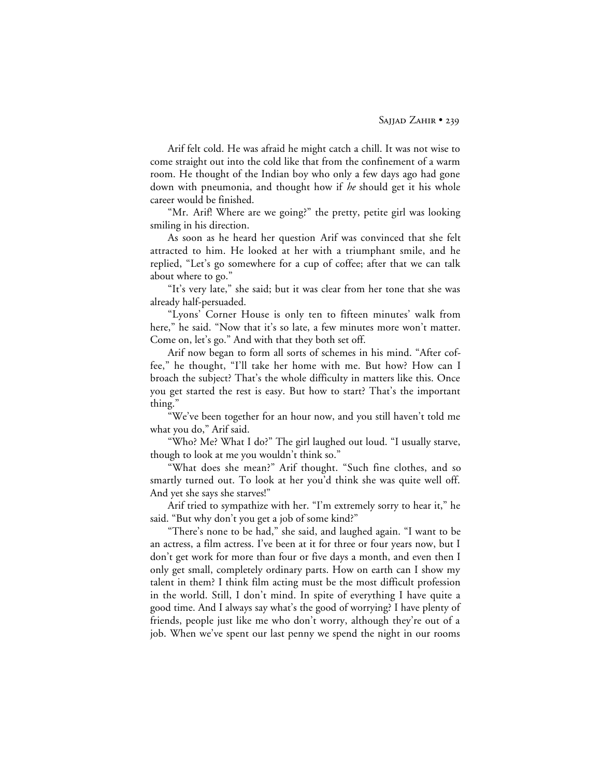Arif felt cold. He was afraid he might catch a chill. It was not wise to come straight out into the cold like that from the confinement of a warm room. He thought of the Indian boy who only a few days ago had gone down with pneumonia, and thought how if *he* should get it his whole career would be finished.

"Mr. Arif! Where are we going?" the pretty, petite girl was looking smiling in his direction.

As soon as he heard her question Arif was convinced that she felt attracted to him. He looked at her with a triumphant smile, and he replied, "Let's go somewhere for a cup of coffee; after that we can talk about where to go."

"It's very late," she said; but it was clear from her tone that she was already half-persuaded.

"Lyons' Corner House is only ten to fifteen minutes' walk from here," he said. "Now that it's so late, a few minutes more won't matter. Come on, let's go." And with that they both set off.

Arif now began to form all sorts of schemes in his mind. "After coffee," he thought, "I'll take her home with me. But how? How can I broach the subject? That's the whole difficulty in matters like this. Once you get started the rest is easy. But how to start? That's the important thing."

"We've been together for an hour now, and you still haven't told me what you do," Arif said.

"Who? Me? What I do?" The girl laughed out loud. "I usually starve, though to look at me you wouldn't think so."

"What does she mean?" Arif thought. "Such fine clothes, and so smartly turned out. To look at her you'd think she was quite well off. And yet she says she starves!"

Arif tried to sympathize with her. "I'm extremely sorry to hear it," he said. "But why don't you get a job of some kind?"

"There's none to be had," she said, and laughed again. "I want to be an actress, a film actress. I've been at it for three or four years now, but I don't get work for more than four or five days a month, and even then I only get small, completely ordinary parts. How on earth can I show my talent in them? I think film acting must be the most difficult profession in the world. Still, I don't mind. In spite of everything I have quite a good time. And I always say what's the good of worrying? I have plenty of friends, people just like me who don't worry, although they're out of a job. When we've spent our last penny we spend the night in our rooms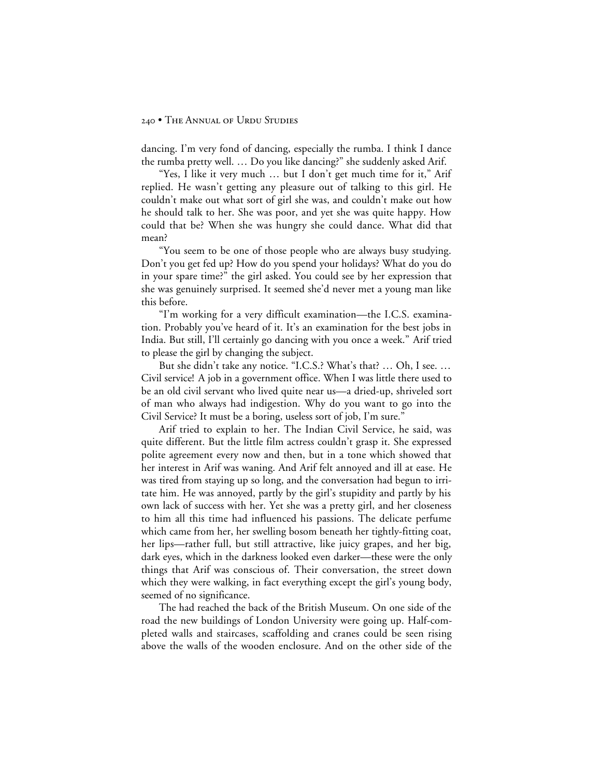dancing. I'm very fond of dancing, especially the rumba. I think I dance the rumba pretty well. … Do you like dancing?" she suddenly asked Arif.

"Yes, I like it very much … but I don't get much time for it," Arif replied. He wasn't getting any pleasure out of talking to this girl. He couldn't make out what sort of girl she was, and couldn't make out how he should talk to her. She was poor, and yet she was quite happy. How could that be? When she was hungry she could dance. What did that mean?

"You seem to be one of those people who are always busy studying. Don't you get fed up? How do you spend your holidays? What do you do in your spare time?" the girl asked. You could see by her expression that she was genuinely surprised. It seemed she'd never met a young man like this before.

"I'm working for a very difficult examination—the I.C.S. examination. Probably you've heard of it. It's an examination for the best jobs in India. But still, I'll certainly go dancing with you once a week." Arif tried to please the girl by changing the subject.

But she didn't take any notice. "I.C.S.? What's that? … Oh, I see. … Civil service! A job in a government office. When I was little there used to be an old civil servant who lived quite near us—a dried-up, shriveled sort of man who always had indigestion. Why do you want to go into the Civil Service? It must be a boring, useless sort of job, I'm sure."

Arif tried to explain to her. The Indian Civil Service, he said, was quite different. But the little film actress couldn't grasp it. She expressed polite agreement every now and then, but in a tone which showed that her interest in Arif was waning. And Arif felt annoyed and ill at ease. He was tired from staying up so long, and the conversation had begun to irritate him. He was annoyed, partly by the girl's stupidity and partly by his own lack of success with her. Yet she was a pretty girl, and her closeness to him all this time had influenced his passions. The delicate perfume which came from her, her swelling bosom beneath her tightly-fitting coat, her lips—rather full, but still attractive, like juicy grapes, and her big, dark eyes, which in the darkness looked even darker—these were the only things that Arif was conscious of. Their conversation, the street down which they were walking, in fact everything except the girl's young body, seemed of no significance.

The had reached the back of the British Museum. On one side of the road the new buildings of London University were going up. Half-completed walls and staircases, scaffolding and cranes could be seen rising above the walls of the wooden enclosure. And on the other side of the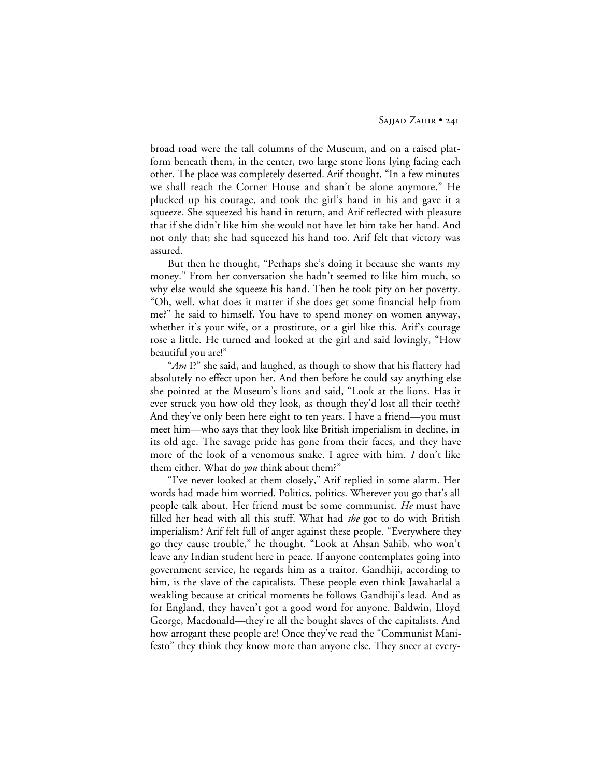broad road were the tall columns of the Museum, and on a raised platform beneath them, in the center, two large stone lions lying facing each other. The place was completely deserted. Arif thought, "In a few minutes we shall reach the Corner House and shan't be alone anymore." He plucked up his courage, and took the girl's hand in his and gave it a squeeze. She squeezed his hand in return, and Arif reflected with pleasure that if she didn't like him she would not have let him take her hand. And not only that; she had squeezed his hand too. Arif felt that victory was assured.

But then he thought, "Perhaps she's doing it because she wants my money." From her conversation she hadn't seemed to like him much, so why else would she squeeze his hand. Then he took pity on her poverty. "Oh, well, what does it matter if she does get some financial help from me?" he said to himself. You have to spend money on women anyway, whether it's your wife, or a prostitute, or a girl like this. Arif's courage rose a little. He turned and looked at the girl and said lovingly, "How beautiful you are!"

"Am I?" she said, and laughed, as though to show that his flattery had absolutely no effect upon her. And then before he could say anything else she pointed at the Museum's lions and said, "Look at the lions. Has it ever struck you how old they look, as though they'd lost all their teeth? And they've only been here eight to ten years. I have a friend—you must meet him—who says that they look like British imperialism in decline, in its old age. The savage pride has gone from their faces, and they have more of the look of a venomous snake. I agree with him. *I* don't like them either. What do *you* think about them?"

"I've never looked at them closely," Arif replied in some alarm. Her words had made him worried. Politics, politics. Wherever you go that's all people talk about. Her friend must be some communist. *He* must have filled her head with all this stuff. What had *she* got to do with British imperialism? Arif felt full of anger against these people. "Everywhere they go they cause trouble," he thought. "Look at Ahsan Sahib, who won't leave any Indian student here in peace. If anyone contemplates going into government service, he regards him as a traitor. Gandhiji, according to him, is the slave of the capitalists. These people even think Jawaharlal a weakling because at critical moments he follows Gandhiji's lead. And as for England, they haven't got a good word for anyone. Baldwin, Lloyd George, Macdonald—they're all the bought slaves of the capitalists. And how arrogant these people are! Once they've read the "Communist Manifesto" they think they know more than anyone else. They sneer at every-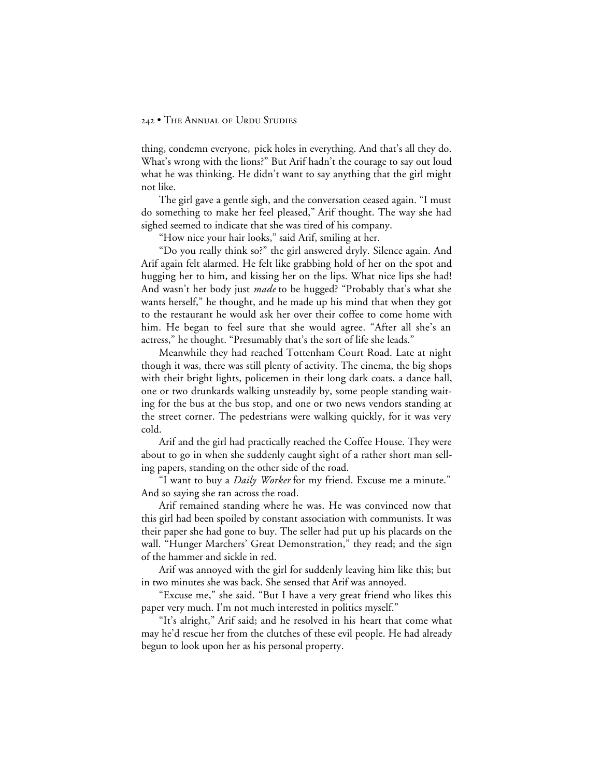thing, condemn everyone, pick holes in everything. And that's all they do. What's wrong with the lions?" But Arif hadn't the courage to say out loud what he was thinking. He didn't want to say anything that the girl might not like.

The girl gave a gentle sigh, and the conversation ceased again. "I must do something to make her feel pleased," Arif thought. The way she had sighed seemed to indicate that she was tired of his company.

"How nice your hair looks," said Arif, smiling at her.

"Do you really think so?" the girl answered dryly. Silence again. And Arif again felt alarmed. He felt like grabbing hold of her on the spot and hugging her to him, and kissing her on the lips. What nice lips she had! And wasn't her body just *made* to be hugged? "Probably that's what she wants herself," he thought, and he made up his mind that when they got to the restaurant he would ask her over their coffee to come home with him. He began to feel sure that she would agree. "After all she's an actress," he thought. "Presumably that's the sort of life she leads."

Meanwhile they had reached Tottenham Court Road. Late at night though it was, there was still plenty of activity. The cinema, the big shops with their bright lights, policemen in their long dark coats, a dance hall, one or two drunkards walking unsteadily by, some people standing waiting for the bus at the bus stop, and one or two news vendors standing at the street corner. The pedestrians were walking quickly, for it was very cold.

Arif and the girl had practically reached the Coffee House. They were about to go in when she suddenly caught sight of a rather short man selling papers, standing on the other side of the road.

"I want to buy a *Daily Worker* for my friend. Excuse me a minute." And so saying she ran across the road.

Arif remained standing where he was. He was convinced now that this girl had been spoiled by constant association with communists. It was their paper she had gone to buy. The seller had put up his placards on the wall. "Hunger Marchers' Great Demonstration," they read; and the sign of the hammer and sickle in red.

Arif was annoyed with the girl for suddenly leaving him like this; but in two minutes she was back. She sensed that Arif was annoyed.

"Excuse me," she said. "But I have a very great friend who likes this paper very much. I'm not much interested in politics myself."

"It's alright," Arif said; and he resolved in his heart that come what may he'd rescue her from the clutches of these evil people. He had already begun to look upon her as his personal property.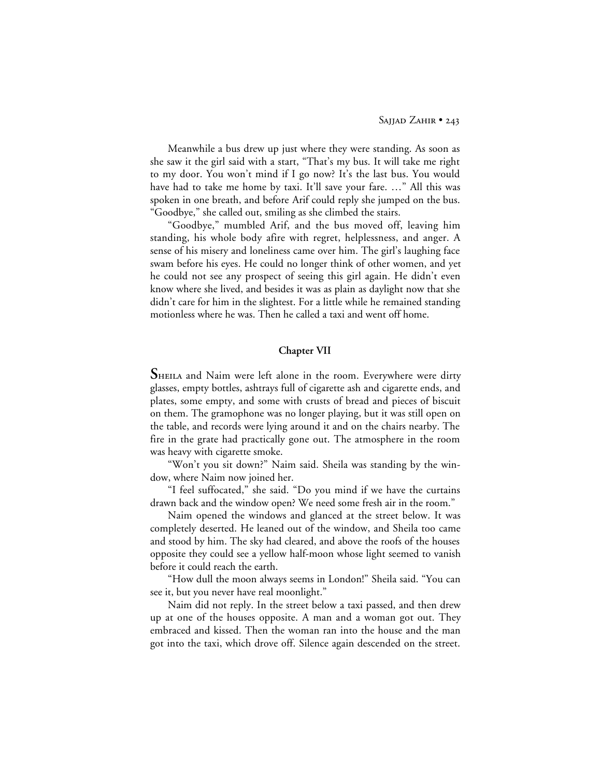Meanwhile a bus drew up just where they were standing. As soon as she saw it the girl said with a start, "That's my bus. It will take me right to my door. You won't mind if I go now? It's the last bus. You would have had to take me home by taxi. It'll save your fare. …" All this was spoken in one breath, and before Arif could reply she jumped on the bus. "Goodbye," she called out, smiling as she climbed the stairs.

"Goodbye," mumbled Arif, and the bus moved off, leaving him standing, his whole body afire with regret, helplessness, and anger. A sense of his misery and loneliness came over him. The girl's laughing face swam before his eyes. He could no longer think of other women, and yet he could not see any prospect of seeing this girl again. He didn't even know where she lived, and besides it was as plain as daylight now that she didn't care for him in the slightest. For a little while he remained standing motionless where he was. Then he called a taxi and went off home.

## **Chapter VII**

**S**HEILA and Naim were left alone in the room. Everywhere were dirty glasses, empty bottles, ashtrays full of cigarette ash and cigarette ends, and plates, some empty, and some with crusts of bread and pieces of biscuit on them. The gramophone was no longer playing, but it was still open on the table, and records were lying around it and on the chairs nearby. The fire in the grate had practically gone out. The atmosphere in the room was heavy with cigarette smoke.

"Won't you sit down?" Naim said. Sheila was standing by the window, where Naim now joined her.

"I feel suffocated," she said. "Do you mind if we have the curtains drawn back and the window open? We need some fresh air in the room."

Naim opened the windows and glanced at the street below. It was completely deserted. He leaned out of the window, and Sheila too came and stood by him. The sky had cleared, and above the roofs of the houses opposite they could see a yellow half-moon whose light seemed to vanish before it could reach the earth.

"How dull the moon always seems in London!" Sheila said. "You can see it, but you never have real moonlight."

Naim did not reply. In the street below a taxi passed, and then drew up at one of the houses opposite. A man and a woman got out. They embraced and kissed. Then the woman ran into the house and the man got into the taxi, which drove off. Silence again descended on the street.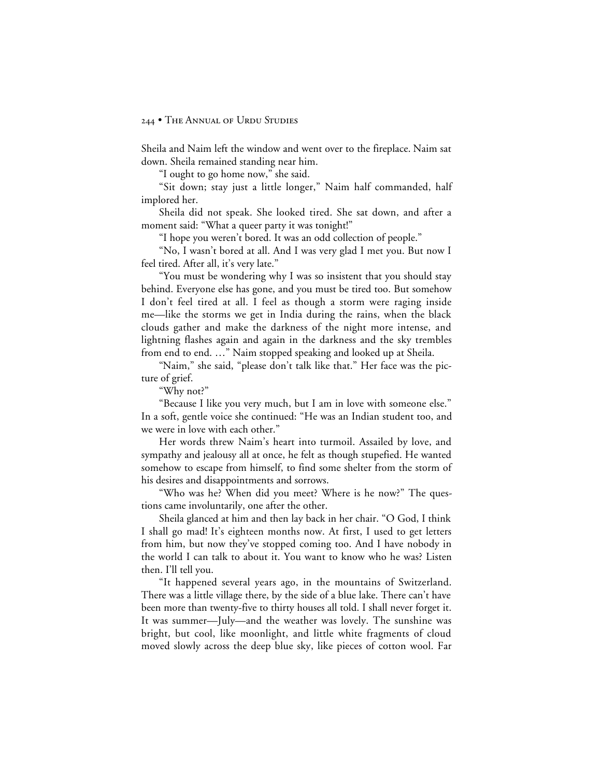Sheila and Naim left the window and went over to the fireplace. Naim sat down. Sheila remained standing near him.

"I ought to go home now," she said.

"Sit down; stay just a little longer," Naim half commanded, half implored her.

Sheila did not speak. She looked tired. She sat down, and after a moment said: "What a queer party it was tonight!"

"I hope you weren't bored. It was an odd collection of people."

"No, I wasn't bored at all. And I was very glad I met you. But now I feel tired. After all, it's very late."

"You must be wondering why I was so insistent that you should stay behind. Everyone else has gone, and you must be tired too. But somehow I don't feel tired at all. I feel as though a storm were raging inside me—like the storms we get in India during the rains, when the black clouds gather and make the darkness of the night more intense, and lightning flashes again and again in the darkness and the sky trembles from end to end. …" Naim stopped speaking and looked up at Sheila.

"Naim," she said, "please don't talk like that." Her face was the picture of grief.

"Why not?"

"Because I like you very much, but I am in love with someone else." In a soft, gentle voice she continued: "He was an Indian student too, and we were in love with each other."

Her words threw Naim's heart into turmoil. Assailed by love, and sympathy and jealousy all at once, he felt as though stupefied. He wanted somehow to escape from himself, to find some shelter from the storm of his desires and disappointments and sorrows.

"Who was he? When did you meet? Where is he now?" The questions came involuntarily, one after the other.

Sheila glanced at him and then lay back in her chair. "O God, I think I shall go mad! It's eighteen months now. At first, I used to get letters from him, but now they've stopped coming too. And I have nobody in the world I can talk to about it. You want to know who he was? Listen then. I'll tell you.

"It happened several years ago, in the mountains of Switzerland. There was a little village there, by the side of a blue lake. There can't have been more than twenty-five to thirty houses all told. I shall never forget it. It was summer—July—and the weather was lovely. The sunshine was bright, but cool, like moonlight, and little white fragments of cloud moved slowly across the deep blue sky, like pieces of cotton wool. Far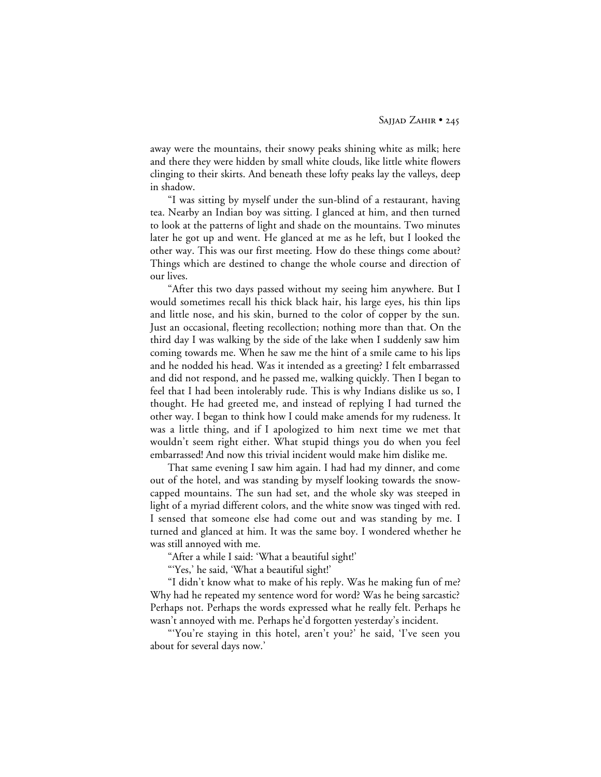away were the mountains, their snowy peaks shining white as milk; here and there they were hidden by small white clouds, like little white flowers clinging to their skirts. And beneath these lofty peaks lay the valleys, deep in shadow.

"I was sitting by myself under the sun-blind of a restaurant, having tea. Nearby an Indian boy was sitting. I glanced at him, and then turned to look at the patterns of light and shade on the mountains. Two minutes later he got up and went. He glanced at me as he left, but I looked the other way. This was our first meeting. How do these things come about? Things which are destined to change the whole course and direction of our lives.

"After this two days passed without my seeing him anywhere. But I would sometimes recall his thick black hair, his large eyes, his thin lips and little nose, and his skin, burned to the color of copper by the sun. Just an occasional, fleeting recollection; nothing more than that. On the third day I was walking by the side of the lake when I suddenly saw him coming towards me. When he saw me the hint of a smile came to his lips and he nodded his head. Was it intended as a greeting? I felt embarrassed and did not respond, and he passed me, walking quickly. Then I began to feel that I had been intolerably rude. This is why Indians dislike us so, I thought. He had greeted me, and instead of replying I had turned the other way. I began to think how I could make amends for my rudeness. It was a little thing, and if I apologized to him next time we met that wouldn't seem right either. What stupid things you do when you feel embarrassed! And now this trivial incident would make him dislike me.

That same evening I saw him again. I had had my dinner, and come out of the hotel, and was standing by myself looking towards the snowcapped mountains. The sun had set, and the whole sky was steeped in light of a myriad different colors, and the white snow was tinged with red. I sensed that someone else had come out and was standing by me. I turned and glanced at him. It was the same boy. I wondered whether he was still annoyed with me.

"After a while I said: 'What a beautiful sight!'

"'Yes,' he said, 'What a beautiful sight!'

"I didn't know what to make of his reply. Was he making fun of me? Why had he repeated my sentence word for word? Was he being sarcastic? Perhaps not. Perhaps the words expressed what he really felt. Perhaps he wasn't annoyed with me. Perhaps he'd forgotten yesterday's incident.

"'You're staying in this hotel, aren't you?' he said, 'I've seen you about for several days now.'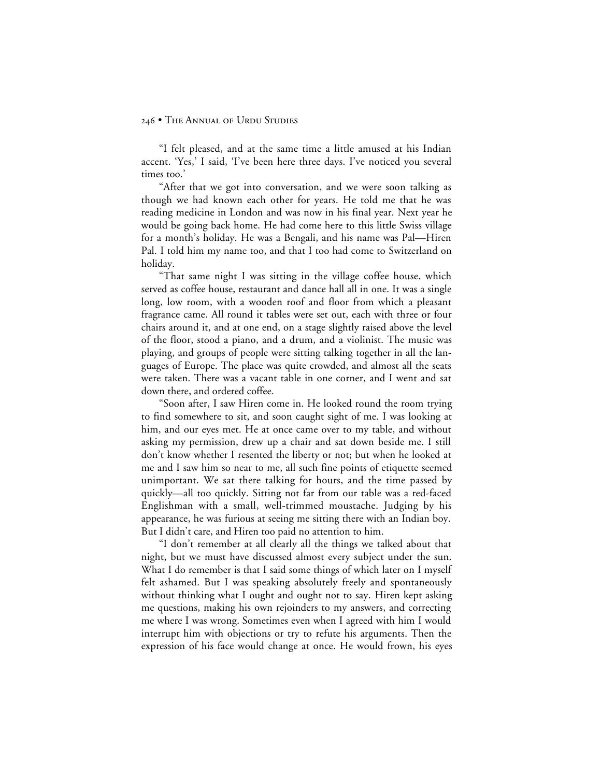"I felt pleased, and at the same time a little amused at his Indian accent. 'Yes,' I said, 'I've been here three days. I've noticed you several times too.'

"After that we got into conversation, and we were soon talking as though we had known each other for years. He told me that he was reading medicine in London and was now in his final year. Next year he would be going back home. He had come here to this little Swiss village for a month's holiday. He was a Bengali, and his name was Pal—Hiren Pal. I told him my name too, and that I too had come to Switzerland on holiday.

"That same night I was sitting in the village coffee house, which served as coffee house, restaurant and dance hall all in one. It was a single long, low room, with a wooden roof and floor from which a pleasant fragrance came. All round it tables were set out, each with three or four chairs around it, and at one end, on a stage slightly raised above the level of the floor, stood a piano, and a drum, and a violinist. The music was playing, and groups of people were sitting talking together in all the languages of Europe. The place was quite crowded, and almost all the seats were taken. There was a vacant table in one corner, and I went and sat down there, and ordered coffee.

"Soon after, I saw Hiren come in. He looked round the room trying to find somewhere to sit, and soon caught sight of me. I was looking at him, and our eyes met. He at once came over to my table, and without asking my permission, drew up a chair and sat down beside me. I still don't know whether I resented the liberty or not; but when he looked at me and I saw him so near to me, all such fine points of etiquette seemed unimportant. We sat there talking for hours, and the time passed by quickly—all too quickly. Sitting not far from our table was a red-faced Englishman with a small, well-trimmed moustache. Judging by his appearance, he was furious at seeing me sitting there with an Indian boy. But I didn't care, and Hiren too paid no attention to him.

"I don't remember at all clearly all the things we talked about that night, but we must have discussed almost every subject under the sun. What I do remember is that I said some things of which later on I myself felt ashamed. But I was speaking absolutely freely and spontaneously without thinking what I ought and ought not to say. Hiren kept asking me questions, making his own rejoinders to my answers, and correcting me where I was wrong. Sometimes even when I agreed with him I would interrupt him with objections or try to refute his arguments. Then the expression of his face would change at once. He would frown, his eyes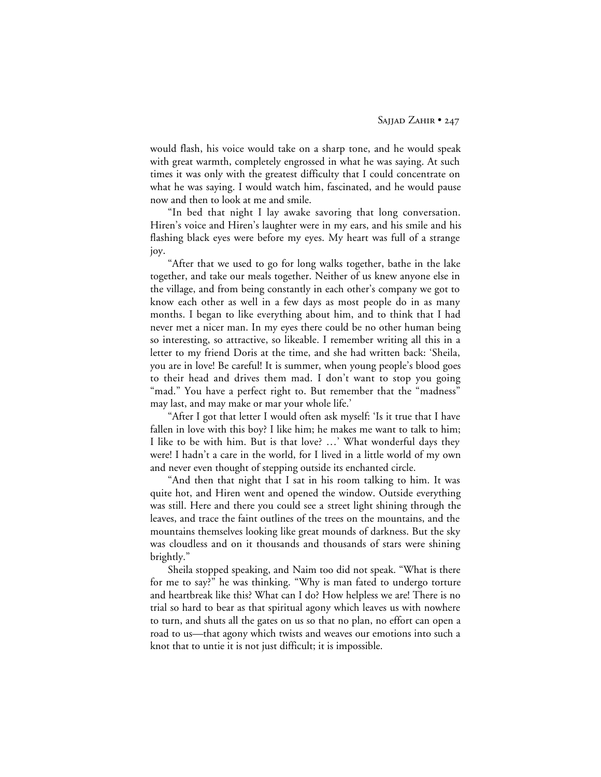would flash, his voice would take on a sharp tone, and he would speak with great warmth, completely engrossed in what he was saying. At such times it was only with the greatest difficulty that I could concentrate on what he was saying. I would watch him, fascinated, and he would pause now and then to look at me and smile.

"In bed that night I lay awake savoring that long conversation. Hiren's voice and Hiren's laughter were in my ears, and his smile and his flashing black eyes were before my eyes. My heart was full of a strange joy.

"After that we used to go for long walks together, bathe in the lake together, and take our meals together. Neither of us knew anyone else in the village, and from being constantly in each other's company we got to know each other as well in a few days as most people do in as many months. I began to like everything about him, and to think that I had never met a nicer man. In my eyes there could be no other human being so interesting, so attractive, so likeable. I remember writing all this in a letter to my friend Doris at the time, and she had written back: 'Sheila, you are in love! Be careful! It is summer, when young people's blood goes to their head and drives them mad. I don't want to stop you going "mad." You have a perfect right to. But remember that the "madness" may last, and may make or mar your whole life.'

"After I got that letter I would often ask myself: 'Is it true that I have fallen in love with this boy? I like him; he makes me want to talk to him; I like to be with him. But is that love? …' What wonderful days they were! I hadn't a care in the world, for I lived in a little world of my own and never even thought of stepping outside its enchanted circle.

"And then that night that I sat in his room talking to him. It was quite hot, and Hiren went and opened the window. Outside everything was still. Here and there you could see a street light shining through the leaves, and trace the faint outlines of the trees on the mountains, and the mountains themselves looking like great mounds of darkness. But the sky was cloudless and on it thousands and thousands of stars were shining brightly."

Sheila stopped speaking, and Naim too did not speak. "What is there for me to say?" he was thinking. "Why is man fated to undergo torture and heartbreak like this? What can I do? How helpless we are! There is no trial so hard to bear as that spiritual agony which leaves us with nowhere to turn, and shuts all the gates on us so that no plan, no effort can open a road to us—that agony which twists and weaves our emotions into such a knot that to untie it is not just difficult; it is impossible.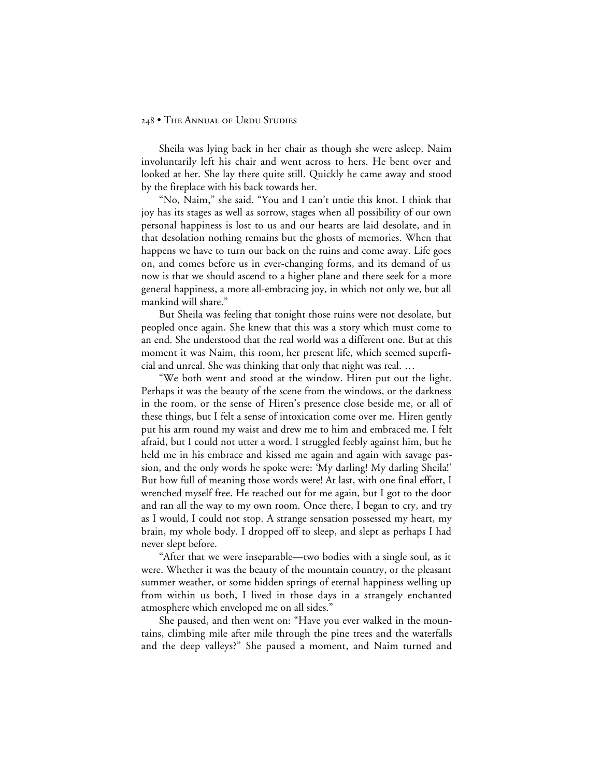Sheila was lying back in her chair as though she were asleep. Naim involuntarily left his chair and went across to hers. He bent over and looked at her. She lay there quite still. Quickly he came away and stood by the fireplace with his back towards her.

"No, Naim," she said. "You and I can't untie this knot. I think that joy has its stages as well as sorrow, stages when all possibility of our own personal happiness is lost to us and our hearts are laid desolate, and in that desolation nothing remains but the ghosts of memories. When that happens we have to turn our back on the ruins and come away. Life goes on, and comes before us in ever-changing forms, and its demand of us now is that we should ascend to a higher plane and there seek for a more general happiness, a more all-embracing joy, in which not only we, but all mankind will share."

But Sheila was feeling that tonight those ruins were not desolate, but peopled once again. She knew that this was a story which must come to an end. She understood that the real world was a different one. But at this moment it was Naim, this room, her present life, which seemed superficial and unreal. She was thinking that only that night was real. …

"We both went and stood at the window. Hiren put out the light. Perhaps it was the beauty of the scene from the windows, or the darkness in the room, or the sense of Hiren's presence close beside me, or all of these things, but I felt a sense of intoxication come over me. Hiren gently put his arm round my waist and drew me to him and embraced me. I felt afraid, but I could not utter a word. I struggled feebly against him, but he held me in his embrace and kissed me again and again with savage passion, and the only words he spoke were: 'My darling! My darling Sheila!' But how full of meaning those words were! At last, with one final effort, I wrenched myself free. He reached out for me again, but I got to the door and ran all the way to my own room. Once there, I began to cry, and try as I would, I could not stop. A strange sensation possessed my heart, my brain, my whole body. I dropped off to sleep, and slept as perhaps I had never slept before.

"After that we were inseparable—two bodies with a single soul, as it were. Whether it was the beauty of the mountain country, or the pleasant summer weather, or some hidden springs of eternal happiness welling up from within us both, I lived in those days in a strangely enchanted atmosphere which enveloped me on all sides."

She paused, and then went on: "Have you ever walked in the mountains, climbing mile after mile through the pine trees and the waterfalls and the deep valleys?" She paused a moment, and Naim turned and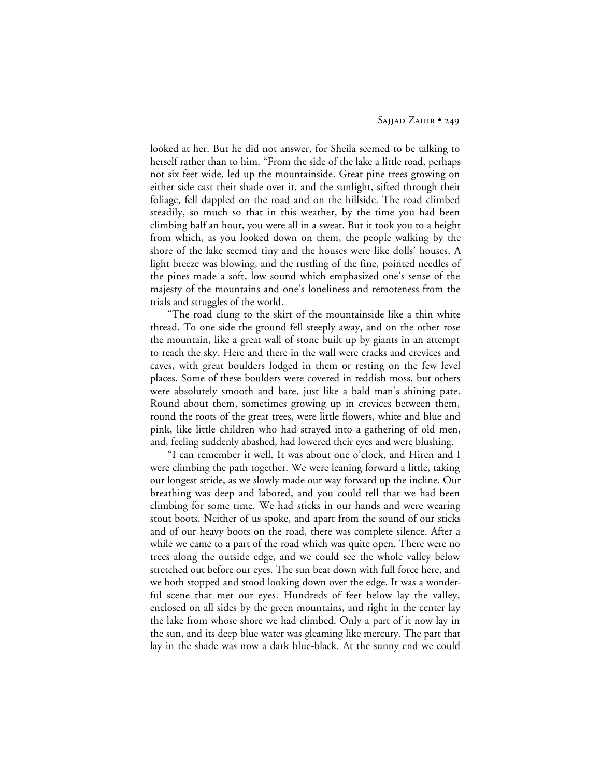looked at her. But he did not answer, for Sheila seemed to be talking to herself rather than to him. "From the side of the lake a little road, perhaps not six feet wide, led up the mountainside. Great pine trees growing on either side cast their shade over it, and the sunlight, sifted through their foliage, fell dappled on the road and on the hillside. The road climbed steadily, so much so that in this weather, by the time you had been climbing half an hour, you were all in a sweat. But it took you to a height from which, as you looked down on them, the people walking by the shore of the lake seemed tiny and the houses were like dolls' houses. A light breeze was blowing, and the rustling of the fine, pointed needles of the pines made a soft, low sound which emphasized one's sense of the majesty of the mountains and one's loneliness and remoteness from the trials and struggles of the world.

"The road clung to the skirt of the mountainside like a thin white thread. To one side the ground fell steeply away, and on the other rose the mountain, like a great wall of stone built up by giants in an attempt to reach the sky. Here and there in the wall were cracks and crevices and caves, with great boulders lodged in them or resting on the few level places. Some of these boulders were covered in reddish moss, but others were absolutely smooth and bare, just like a bald man's shining pate. Round about them, sometimes growing up in crevices between them, round the roots of the great trees, were little flowers, white and blue and pink, like little children who had strayed into a gathering of old men, and, feeling suddenly abashed, had lowered their eyes and were blushing.

"I can remember it well. It was about one o'clock, and Hiren and I were climbing the path together. We were leaning forward a little, taking our longest stride, as we slowly made our way forward up the incline. Our breathing was deep and labored, and you could tell that we had been climbing for some time. We had sticks in our hands and were wearing stout boots. Neither of us spoke, and apart from the sound of our sticks and of our heavy boots on the road, there was complete silence. After a while we came to a part of the road which was quite open. There were no trees along the outside edge, and we could see the whole valley below stretched out before our eyes. The sun beat down with full force here, and we both stopped and stood looking down over the edge. It was a wonderful scene that met our eyes. Hundreds of feet below lay the valley, enclosed on all sides by the green mountains, and right in the center lay the lake from whose shore we had climbed. Only a part of it now lay in the sun, and its deep blue water was gleaming like mercury. The part that lay in the shade was now a dark blue-black. At the sunny end we could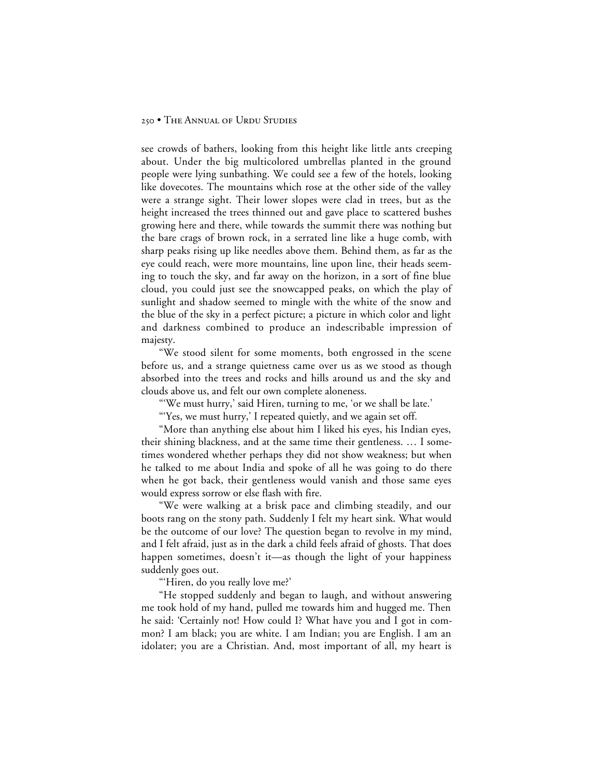see crowds of bathers, looking from this height like little ants creeping about. Under the big multicolored umbrellas planted in the ground people were lying sunbathing. We could see a few of the hotels, looking like dovecotes. The mountains which rose at the other side of the valley were a strange sight. Their lower slopes were clad in trees, but as the height increased the trees thinned out and gave place to scattered bushes growing here and there, while towards the summit there was nothing but the bare crags of brown rock, in a serrated line like a huge comb, with sharp peaks rising up like needles above them. Behind them, as far as the eye could reach, were more mountains, line upon line, their heads seeming to touch the sky, and far away on the horizon, in a sort of fine blue cloud, you could just see the snowcapped peaks, on which the play of sunlight and shadow seemed to mingle with the white of the snow and the blue of the sky in a perfect picture; a picture in which color and light and darkness combined to produce an indescribable impression of majesty.

"We stood silent for some moments, both engrossed in the scene before us, and a strange quietness came over us as we stood as though absorbed into the trees and rocks and hills around us and the sky and clouds above us, and felt our own complete aloneness.

"'We must hurry,' said Hiren, turning to me, 'or we shall be late.'

"'Yes, we must hurry,' I repeated quietly, and we again set off.

"More than anything else about him I liked his eyes, his Indian eyes, their shining blackness, and at the same time their gentleness. … I sometimes wondered whether perhaps they did not show weakness; but when he talked to me about India and spoke of all he was going to do there when he got back, their gentleness would vanish and those same eyes would express sorrow or else flash with fire.

"We were walking at a brisk pace and climbing steadily, and our boots rang on the stony path. Suddenly I felt my heart sink. What would be the outcome of our love? The question began to revolve in my mind, and I felt afraid, just as in the dark a child feels afraid of ghosts. That does happen sometimes, doesn't it—as though the light of your happiness suddenly goes out.

"Hiren, do you really love me?"

"He stopped suddenly and began to laugh, and without answering me took hold of my hand, pulled me towards him and hugged me. Then he said: 'Certainly not! How could I? What have you and I got in common? I am black; you are white. I am Indian; you are English. I am an idolater; you are a Christian. And, most important of all, my heart is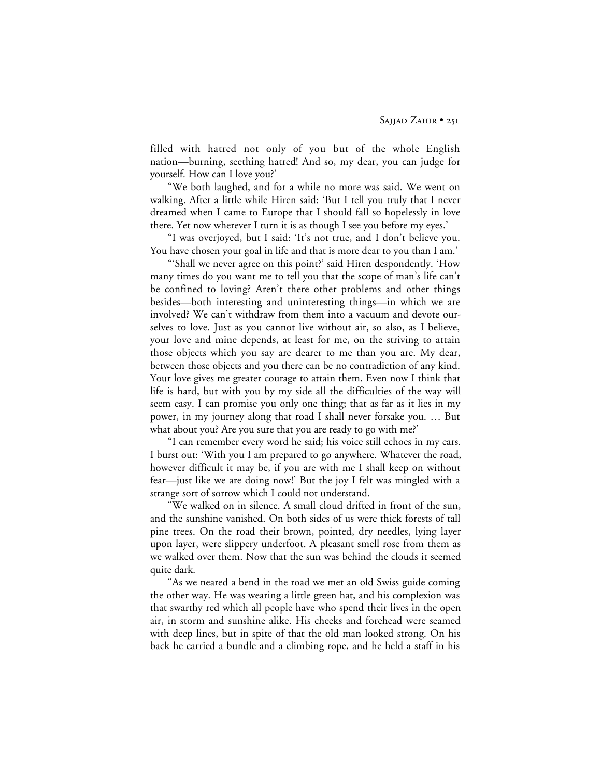filled with hatred not only of you but of the whole English nation—burning, seething hatred! And so, my dear, you can judge for yourself. How can I love you?'

"We both laughed, and for a while no more was said. We went on walking. After a little while Hiren said: 'But I tell you truly that I never dreamed when I came to Europe that I should fall so hopelessly in love there. Yet now wherever I turn it is as though I see you before my eyes.'

"I was overjoyed, but I said: 'It's not true, and I don't believe you. You have chosen your goal in life and that is more dear to you than I am.'

"'Shall we never agree on this point?' said Hiren despondently. 'How many times do you want me to tell you that the scope of man's life can't be confined to loving? Aren't there other problems and other things besides—both interesting and uninteresting things—in which we are involved? We can't withdraw from them into a vacuum and devote ourselves to love. Just as you cannot live without air, so also, as I believe, your love and mine depends, at least for me, on the striving to attain those objects which you say are dearer to me than you are. My dear, between those objects and you there can be no contradiction of any kind. Your love gives me greater courage to attain them. Even now I think that life is hard, but with you by my side all the difficulties of the way will seem easy. I can promise you only one thing; that as far as it lies in my power, in my journey along that road I shall never forsake you. … But what about you? Are you sure that you are ready to go with me?'

"I can remember every word he said; his voice still echoes in my ears. I burst out: 'With you I am prepared to go anywhere. Whatever the road, however difficult it may be, if you are with me I shall keep on without fear—just like we are doing now!' But the joy I felt was mingled with a strange sort of sorrow which I could not understand.

"We walked on in silence. A small cloud drifted in front of the sun, and the sunshine vanished. On both sides of us were thick forests of tall pine trees. On the road their brown, pointed, dry needles, lying layer upon layer, were slippery underfoot. A pleasant smell rose from them as we walked over them. Now that the sun was behind the clouds it seemed quite dark.

"As we neared a bend in the road we met an old Swiss guide coming the other way. He was wearing a little green hat, and his complexion was that swarthy red which all people have who spend their lives in the open air, in storm and sunshine alike. His cheeks and forehead were seamed with deep lines, but in spite of that the old man looked strong. On his back he carried a bundle and a climbing rope, and he held a staff in his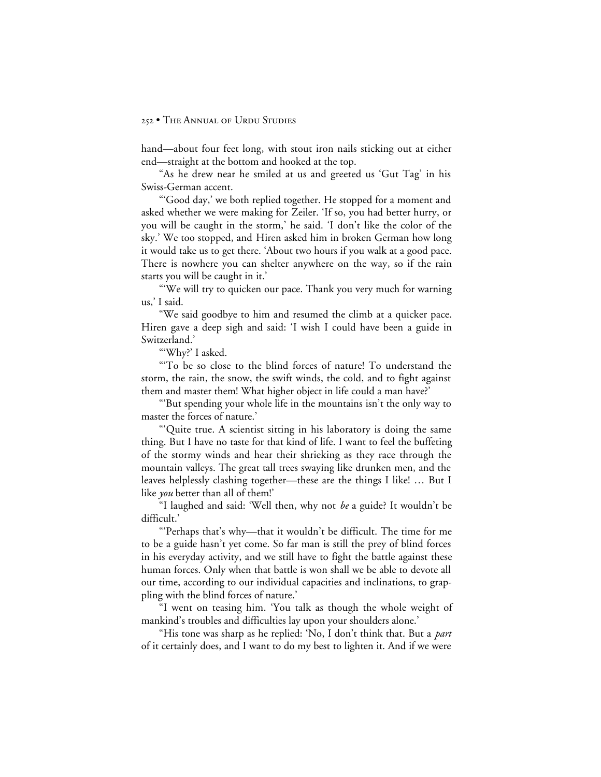hand—about four feet long, with stout iron nails sticking out at either end—straight at the bottom and hooked at the top.

"As he drew near he smiled at us and greeted us 'Gut Tag' in his Swiss-German accent.

"'Good day,' we both replied together. He stopped for a moment and asked whether we were making for Zeiler. 'If so, you had better hurry, or you will be caught in the storm,' he said. 'I don't like the color of the sky.' We too stopped, and Hiren asked him in broken German how long it would take us to get there. 'About two hours if you walk at a good pace. There is nowhere you can shelter anywhere on the way, so if the rain starts you will be caught in it.'

"'We will try to quicken our pace. Thank you very much for warning us,' I said.

"We said goodbye to him and resumed the climb at a quicker pace. Hiren gave a deep sigh and said: 'I wish I could have been a guide in Switzerland.'

"'Why?' I asked.

"'To be so close to the blind forces of nature! To understand the storm, the rain, the snow, the swift winds, the cold, and to fight against them and master them! What higher object in life could a man have?'

"'But spending your whole life in the mountains isn't the only way to master the forces of nature.'

"'Quite true. A scientist sitting in his laboratory is doing the same thing. But I have no taste for that kind of life. I want to feel the buffeting of the stormy winds and hear their shrieking as they race through the mountain valleys. The great tall trees swaying like drunken men, and the leaves helplessly clashing together—these are the things I like! … But I like *you* better than all of them!'

"I laughed and said: 'Well then, why not *be* a guide? It wouldn't be difficult.'

"'Perhaps that's why—that it wouldn't be difficult. The time for me to be a guide hasn't yet come. So far man is still the prey of blind forces in his everyday activity, and we still have to fight the battle against these human forces. Only when that battle is won shall we be able to devote all our time, according to our individual capacities and inclinations, to grappling with the blind forces of nature.'

"I went on teasing him. 'You talk as though the whole weight of mankind's troubles and difficulties lay upon your shoulders alone.'

"His tone was sharp as he replied: 'No, I don't think that. But a *part* of it certainly does, and I want to do my best to lighten it. And if we were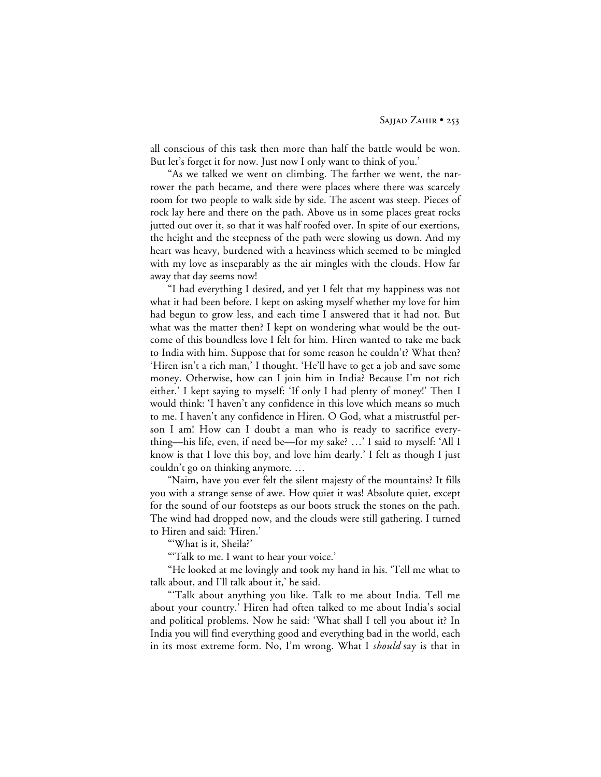all conscious of this task then more than half the battle would be won. But let's forget it for now. Just now I only want to think of you.'

"As we talked we went on climbing. The farther we went, the narrower the path became, and there were places where there was scarcely room for two people to walk side by side. The ascent was steep. Pieces of rock lay here and there on the path. Above us in some places great rocks jutted out over it, so that it was half roofed over. In spite of our exertions, the height and the steepness of the path were slowing us down. And my heart was heavy, burdened with a heaviness which seemed to be mingled with my love as inseparably as the air mingles with the clouds. How far away that day seems now!

"I had everything I desired, and yet I felt that my happiness was not what it had been before. I kept on asking myself whether my love for him had begun to grow less, and each time I answered that it had not. But what was the matter then? I kept on wondering what would be the outcome of this boundless love I felt for him. Hiren wanted to take me back to India with him. Suppose that for some reason he couldn't? What then? 'Hiren isn't a rich man,' I thought. 'He'll have to get a job and save some money. Otherwise, how can I join him in India? Because I'm not rich either.' I kept saying to myself: 'If only I had plenty of money!' Then I would think: 'I haven't any confidence in this love which means so much to me. I haven't any confidence in Hiren. O God, what a mistrustful person I am! How can I doubt a man who is ready to sacrifice everything—his life, even, if need be—for my sake? …' I said to myself: 'All I know is that I love this boy, and love him dearly.' I felt as though I just couldn't go on thinking anymore. …

"Naim, have you ever felt the silent majesty of the mountains? It fills you with a strange sense of awe. How quiet it was! Absolute quiet, except for the sound of our footsteps as our boots struck the stones on the path. The wind had dropped now, and the clouds were still gathering. I turned to Hiren and said: 'Hiren.'

"'What is it, Sheila?'

"'Talk to me. I want to hear your voice.'

"He looked at me lovingly and took my hand in his. 'Tell me what to talk about, and I'll talk about it,' he said.

"'Talk about anything you like. Talk to me about India. Tell me about your country.' Hiren had often talked to me about India's social and political problems. Now he said: 'What shall I tell you about it? In India you will find everything good and everything bad in the world, each in its most extreme form. No, I'm wrong. What I *should* say is that in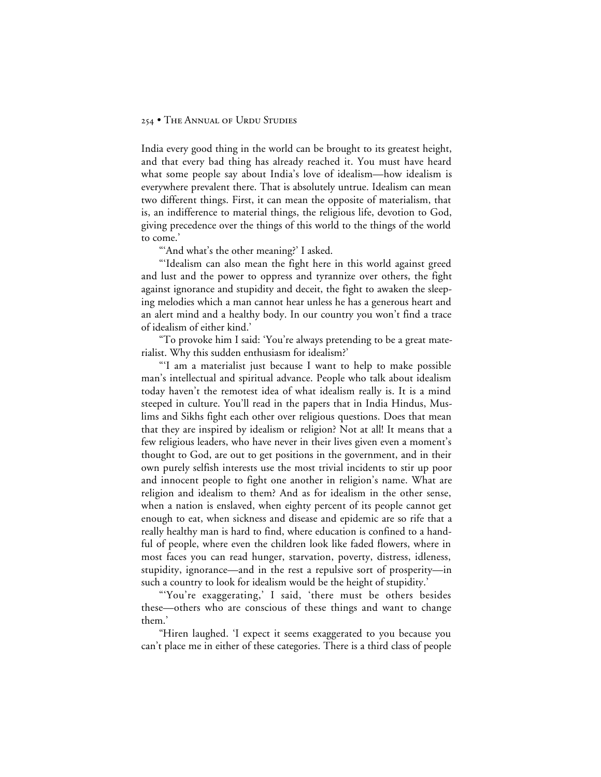India every good thing in the world can be brought to its greatest height, and that every bad thing has already reached it. You must have heard what some people say about India's love of idealism—how idealism is everywhere prevalent there. That is absolutely untrue. Idealism can mean two different things. First, it can mean the opposite of materialism, that is, an indifference to material things, the religious life, devotion to God, giving precedence over the things of this world to the things of the world to come.'

"'And what's the other meaning?' I asked.

"'Idealism can also mean the fight here in this world against greed and lust and the power to oppress and tyrannize over others, the fight against ignorance and stupidity and deceit, the fight to awaken the sleeping melodies which a man cannot hear unless he has a generous heart and an alert mind and a healthy body. In our country you won't find a trace of idealism of either kind.'

"To provoke him I said: 'You're always pretending to be a great materialist. Why this sudden enthusiasm for idealism?'

"'I am a materialist just because I want to help to make possible man's intellectual and spiritual advance. People who talk about idealism today haven't the remotest idea of what idealism really is. It is a mind steeped in culture. You'll read in the papers that in India Hindus, Muslims and Sikhs fight each other over religious questions. Does that mean that they are inspired by idealism or religion? Not at all! It means that a few religious leaders, who have never in their lives given even a moment's thought to God, are out to get positions in the government, and in their own purely selfish interests use the most trivial incidents to stir up poor and innocent people to fight one another in religion's name. What are religion and idealism to them? And as for idealism in the other sense, when a nation is enslaved, when eighty percent of its people cannot get enough to eat, when sickness and disease and epidemic are so rife that a really healthy man is hard to find, where education is confined to a handful of people, where even the children look like faded flowers, where in most faces you can read hunger, starvation, poverty, distress, idleness, stupidity, ignorance—and in the rest a repulsive sort of prosperity—in such a country to look for idealism would be the height of stupidity.'

"'You're exaggerating,' I said, 'there must be others besides these—others who are conscious of these things and want to change them.'

"Hiren laughed. 'I expect it seems exaggerated to you because you can't place me in either of these categories. There is a third class of people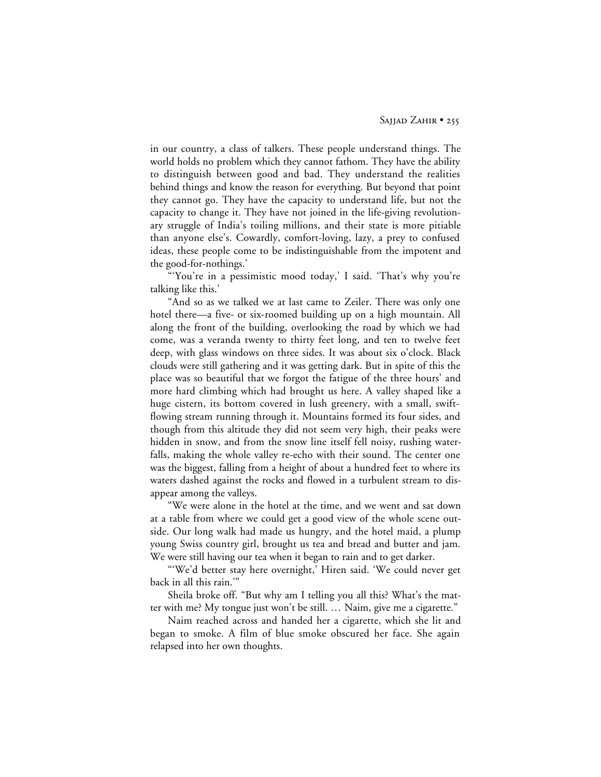in our country, a class of talkers. These people understand things. The world holds no problem which they cannot fathom. They have the ability to distinguish between good and bad. They understand the realities behind things and know the reason for everything. But beyond that point they cannot go. They have the capacity to understand life, but not the capacity to change it. They have not joined in the life-giving revolutionary struggle of India's toiling millions, and their state is more pitiable than anyone else's. Cowardly, comfort-loving, lazy, a prey to confused ideas, these people come to be indistinguishable from the impotent and the good-for-nothings.'

"'You're in a pessimistic mood today,' I said. 'That's why you're talking like this.'

"And so as we talked we at last came to Zeiler. There was only one hotel there—a five- or six-roomed building up on a high mountain. All along the front of the building, overlooking the road by which we had come, was a veranda twenty to thirty feet long, and ten to twelve feet deep, with glass windows on three sides. It was about six o'clock. Black clouds were still gathering and it was getting dark. But in spite of this the place was so beautiful that we forgot the fatigue of the three hours' and more hard climbing which had brought us here. A valley shaped like a huge cistern, its bottom covered in lush greenery, with a small, swiftflowing stream running through it. Mountains formed its four sides, and though from this altitude they did not seem very high, their peaks were hidden in snow, and from the snow line itself fell noisy, rushing waterfalls, making the whole valley re-echo with their sound. The center one was the biggest, falling from a height of about a hundred feet to where its waters dashed against the rocks and flowed in a turbulent stream to disappear among the valleys.

"We were alone in the hotel at the time, and we went and sat down at a table from where we could get a good view of the whole scene outside. Our long walk had made us hungry, and the hotel maid, a plump young Swiss country girl, brought us tea and bread and butter and jam. We were still having our tea when it began to rain and to get darker.

"'We'd better stay here overnight,' Hiren said. 'We could never get back in all this rain.'"

Sheila broke off. "But why am I telling you all this? What's the matter with me? My tongue just won't be still. … Naim, give me a cigarette."

Naim reached across and handed her a cigarette, which she lit and began to smoke. A film of blue smoke obscured her face. She again relapsed into her own thoughts.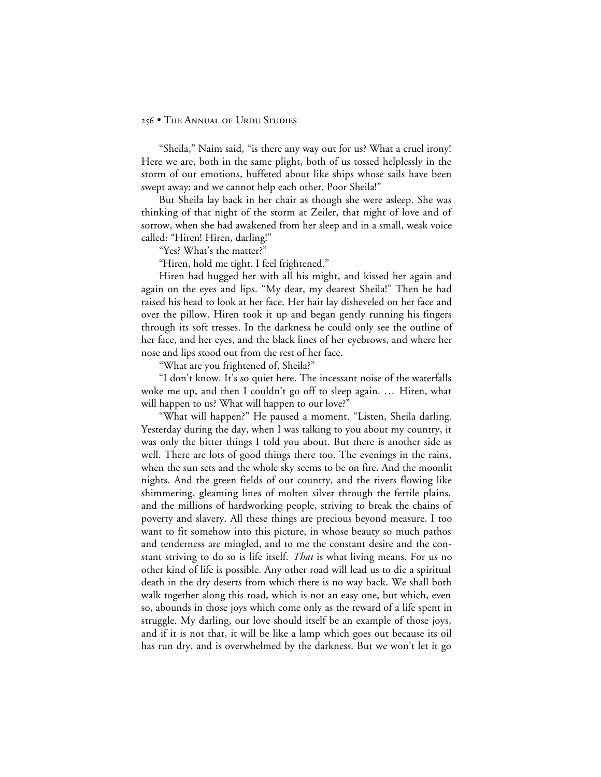"Sheila," Naim said, "is there any way out for us? What a cruel irony! Here we are, both in the same plight, both of us tossed helplessly in the storm of our emotions, buffeted about like ships whose sails have been swept away; and we cannot help each other. Poor Sheila!"

But Sheila lay back in her chair as though she were asleep. She was thinking of that night of the storm at Zeiler, that night of love and of sorrow, when she had awakened from her sleep and in a small, weak voice called: "Hiren! Hiren, darling!"

"Yes? What's the matter?"

"Hiren, hold me tight. I feel frightened."

Hiren had hugged her with all his might, and kissed her again and again on the eyes and lips. "My dear, my dearest Sheila!" Then he had raised his head to look at her face. Her hair lay disheveled on her face and over the pillow. Hiren took it up and began gently running his fingers through its soft tresses. In the darkness he could only see the outline of her face, and her eyes, and the black lines of her eyebrows, and where her nose and lips stood out from the rest of her face.

"What are you frightened of, Sheila?"

"I don't know. It's so quiet here. The incessant noise of the waterfalls woke me up, and then I couldn't go off to sleep again. … Hiren, what will happen to us? What will happen to our love?"

"What will happen?" He paused a moment. "Listen, Sheila darling. Yesterday during the day, when I was talking to you about my country, it was only the bitter things I told you about. But there is another side as well. There are lots of good things there too. The evenings in the rains, when the sun sets and the whole sky seems to be on fire. And the moonlit nights. And the green fields of our country, and the rivers flowing like shimmering, gleaming lines of molten silver through the fertile plains, and the millions of hardworking people, striving to break the chains of poverty and slavery. All these things are precious beyond measure. I too want to fit somehow into this picture, in whose beauty so much pathos and tenderness are mingled, and to me the constant desire and the constant striving to do so is life itself. *That* is what living means. For us no other kind of life is possible. Any other road will lead us to die a spiritual death in the dry deserts from which there is no way back. We shall both walk together along this road, which is not an easy one, but which, even so, abounds in those joys which come only as the reward of a life spent in struggle. My darling, our love should itself be an example of those joys, and if it is not that, it will be like a lamp which goes out because its oil has run dry, and is overwhelmed by the darkness. But we won't let it go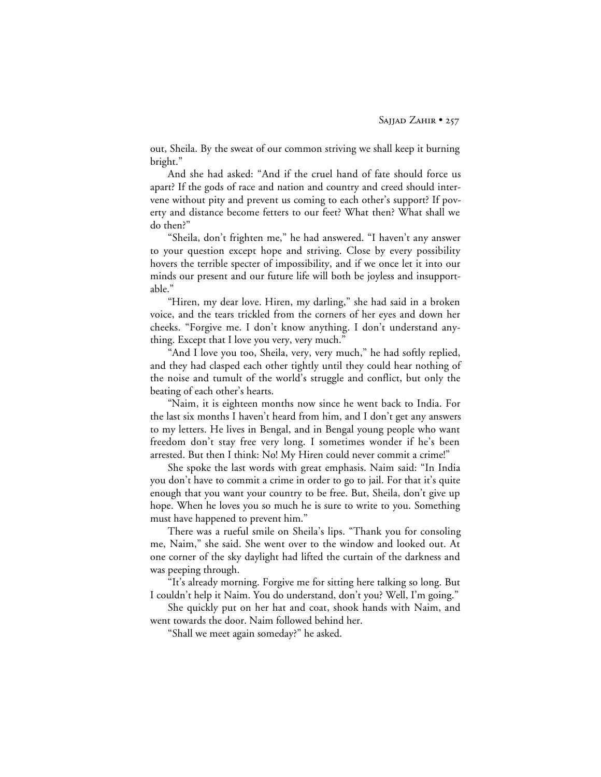out, Sheila. By the sweat of our common striving we shall keep it burning bright."

And she had asked: "And if the cruel hand of fate should force us apart? If the gods of race and nation and country and creed should intervene without pity and prevent us coming to each other's support? If poverty and distance become fetters to our feet? What then? What shall we do then?"

"Sheila, don't frighten me," he had answered. "I haven't any answer to your question except hope and striving. Close by every possibility hovers the terrible specter of impossibility, and if we once let it into our minds our present and our future life will both be joyless and insupportable."

"Hiren, my dear love. Hiren, my darling," she had said in a broken voice, and the tears trickled from the corners of her eyes and down her cheeks. "Forgive me. I don't know anything. I don't understand anything. Except that I love you very, very much."

"And I love you too, Sheila, very, very much," he had softly replied, and they had clasped each other tightly until they could hear nothing of the noise and tumult of the world's struggle and conflict, but only the beating of each other's hearts.

"Naim, it is eighteen months now since he went back to India. For the last six months I haven't heard from him, and I don't get any answers to my letters. He lives in Bengal, and in Bengal young people who want freedom don't stay free very long. I sometimes wonder if he's been arrested. But then I think: No! My Hiren could never commit a crime!"

She spoke the last words with great emphasis. Naim said: "In India you don't have to commit a crime in order to go to jail. For that it's quite enough that you want your country to be free. But, Sheila, don't give up hope. When he loves you so much he is sure to write to you. Something must have happened to prevent him."

There was a rueful smile on Sheila's lips. "Thank you for consoling me, Naim," she said. She went over to the window and looked out. At one corner of the sky daylight had lifted the curtain of the darkness and was peeping through.

"It's already morning. Forgive me for sitting here talking so long. But I couldn't help it Naim. You do understand, don't you? Well, I'm going."

She quickly put on her hat and coat, shook hands with Naim, and went towards the door. Naim followed behind her.

"Shall we meet again someday?" he asked.